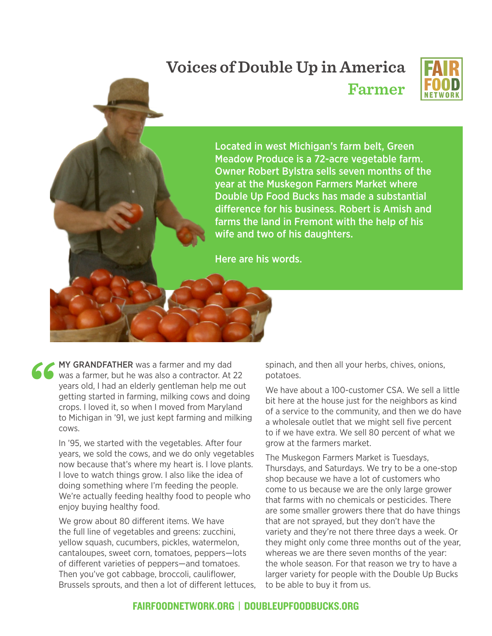## **Voices of Double Up in America Farmer**



Located in west Michigan's farm belt, Green Meadow Produce is a 72-acre vegetable farm. Owner Robert Bylstra sells seven months of the year at the Muskegon Farmers Market where Double Up Food Bucks has made a substantial difference for his business. Robert is Amish and farms the land in Fremont with the help of his wife and two of his daughters.

Here are his words.

**MY GRANDFATHER** was a farmer and my dad was a farmer, but he was also a contractor. At a years old, I had an elderly gentleman help me getting started in farming, milking cows and de crops. I loved it, so when I moved fro was a farmer, but he was also a contractor. At 22 years old, I had an elderly gentleman help me out getting started in farming, milking cows and doing crops. I loved it, so when I moved from Maryland to Michigan in '91, we just kept farming and milking cows.

> In '95, we started with the vegetables. After four years, we sold the cows, and we do only vegetables now because that's where my heart is. I love plants. I love to watch things grow. I also like the idea of doing something where I'm feeding the people. We're actually feeding healthy food to people who enjoy buying healthy food.

> We grow about 80 different items. We have the full line of vegetables and greens: zucchini, yellow squash, cucumbers, pickles, watermelon, cantaloupes, sweet corn, tomatoes, peppers—lots of different varieties of peppers—and tomatoes. Then you've got cabbage, broccoli, cauliflower, Brussels sprouts, and then a lot of different lettuces,

spinach, and then all your herbs, chives, onions, potatoes.

We have about a 100-customer CSA. We sell a little bit here at the house just for the neighbors as kind of a service to the community, and then we do have a wholesale outlet that we might sell five percent to if we have extra. We sell 80 percent of what we grow at the farmers market.

The Muskegon Farmers Market is Tuesdays, Thursdays, and Saturdays. We try to be a one-stop shop because we have a lot of customers who come to us because we are the only large grower that farms with no chemicals or pesticides. There are some smaller growers there that do have things that are not sprayed, but they don't have the variety and they're not there three days a week. Or they might only come three months out of the year, whereas we are there seven months of the year: the whole season. For that reason we try to have a larger variety for people with the Double Up Bucks to be able to buy it from us.

## FAIRFOODNETWORK.ORG | DOUBLEUPFOODBUCKS.ORG